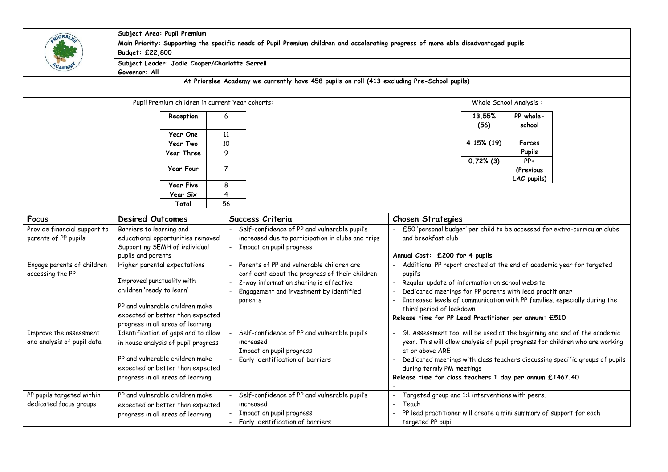| 10RS                                            | Subject Area: Pupil Premium<br>Main Priority: Supporting the specific needs of Pupil Premium children and accelerating progress of more able disadvantaged pupils<br>Budget: £22,800 |                                                                                             |                                                                                                       |  |  |  |
|-------------------------------------------------|--------------------------------------------------------------------------------------------------------------------------------------------------------------------------------------|---------------------------------------------------------------------------------------------|-------------------------------------------------------------------------------------------------------|--|--|--|
|                                                 | Governor: All                                                                                                                                                                        | Subject Leader: Jodie Cooper/Charlotte Serrell                                              |                                                                                                       |  |  |  |
|                                                 |                                                                                                                                                                                      | At Priorslee Academy we currently have 458 pupils on roll (413 excluding Pre-School pupils) |                                                                                                       |  |  |  |
| Pupil Premium children in current Year cohorts: |                                                                                                                                                                                      |                                                                                             | Whole School Analysis:                                                                                |  |  |  |
|                                                 | Reception                                                                                                                                                                            | 6                                                                                           | 13.55%<br>PP whole-<br>(56)<br>school                                                                 |  |  |  |
|                                                 | Year One                                                                                                                                                                             | 11                                                                                          | 4.15% (19)                                                                                            |  |  |  |
|                                                 | <b>Year Two</b><br><b>Year Three</b>                                                                                                                                                 | 10<br>9                                                                                     | Forces<br><b>Pupils</b>                                                                               |  |  |  |
|                                                 | <b>Year Four</b>                                                                                                                                                                     | $\overline{7}$                                                                              | $PP+$<br>$0.72%$ (3)<br>(Previous                                                                     |  |  |  |
|                                                 | <b>Year Five</b>                                                                                                                                                                     | 8                                                                                           | LAC pupils)                                                                                           |  |  |  |
|                                                 | Year Six<br>Total                                                                                                                                                                    | 4<br>56                                                                                     |                                                                                                       |  |  |  |
| Focus                                           | <b>Desired Outcomes</b>                                                                                                                                                              | Success Criteria                                                                            | <b>Chosen Strategies</b>                                                                              |  |  |  |
| Provide financial support to                    | Barriers to learning and                                                                                                                                                             | Self-confidence of PP and vulnerable pupil's                                                | £50 'personal budget' per child to be accessed for extra-curricular clubs                             |  |  |  |
| parents of PP pupils                            | educational opportunities removed                                                                                                                                                    | increased due to participation in clubs and trips                                           | and breakfast club                                                                                    |  |  |  |
|                                                 | Supporting SEMH of individual                                                                                                                                                        | Impact on pupil progress                                                                    |                                                                                                       |  |  |  |
|                                                 | pupils and parents                                                                                                                                                                   |                                                                                             | Annual Cost: £200 for 4 pupils                                                                        |  |  |  |
| Engage parents of children                      | Higher parental expectations                                                                                                                                                         | Parents of PP and vulnerable children are                                                   | Additional PP report created at the end of academic year for targeted                                 |  |  |  |
| accessing the PP                                |                                                                                                                                                                                      | confident about the progress of their children                                              | pupil's                                                                                               |  |  |  |
|                                                 | Improved punctuality with                                                                                                                                                            | 2-way information sharing is effective                                                      | Regular update of information on school website                                                       |  |  |  |
|                                                 | children 'ready to learn'                                                                                                                                                            | Engagement and investment by identified                                                     | Dedicated meetings for PP parents with lead practitioner                                              |  |  |  |
|                                                 | PP and vulnerable children make                                                                                                                                                      | parents                                                                                     | Increased levels of communication with PP families, especially during the<br>third period of lockdown |  |  |  |
|                                                 | expected or better than expected                                                                                                                                                     |                                                                                             | Release time for PP Lead Practitioner per annum: £510                                                 |  |  |  |
|                                                 | progress in all areas of learning                                                                                                                                                    |                                                                                             |                                                                                                       |  |  |  |
| Improve the assessment                          | Identification of gaps and to allow                                                                                                                                                  | Self-confidence of PP and vulnerable pupil's                                                | - GL Assessment tool will be used at the beginning and end of the academic                            |  |  |  |
| and analysis of pupil data                      | in house analysis of pupil progress                                                                                                                                                  | increased                                                                                   | year. This will allow analysis of pupil progress for children who are working                         |  |  |  |
|                                                 | PP and vulnerable children make                                                                                                                                                      | Impact on pupil progress<br>Early identification of barriers                                | at or above ARE<br>Dedicated meetings with class teachers discussing specific groups of pupils        |  |  |  |
|                                                 | expected or better than expected                                                                                                                                                     |                                                                                             | during termly PM meetings                                                                             |  |  |  |
|                                                 | progress in all areas of learning                                                                                                                                                    |                                                                                             | Release time for class teachers 1 day per annum £1467.40                                              |  |  |  |
| PP pupils targeted within                       | PP and vulnerable children make                                                                                                                                                      | Self-confidence of PP and vulnerable pupil's                                                | Targeted group and 1:1 interventions with peers.                                                      |  |  |  |
| dedicated focus groups                          | expected or better than expected                                                                                                                                                     | increased                                                                                   | Teach                                                                                                 |  |  |  |
|                                                 | progress in all areas of learning                                                                                                                                                    | Impact on pupil progress<br>Early identification of barriers                                | PP lead practitioner will create a mini summary of support for each<br>targeted PP pupil              |  |  |  |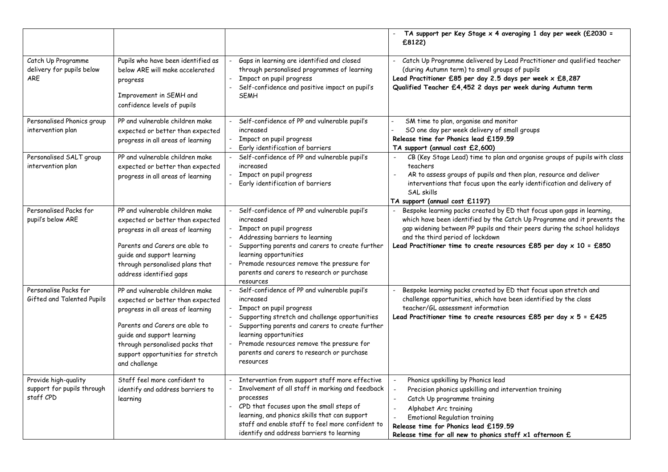|                                                                 |                                                                                                                                                                                                                                                                   |                                                                                                                                                                                                                                                                                                                              | TA support per Key Stage $\times$ 4 averaging 1 day per week (£2030 =<br>£8122)                                                                                                                                                                                                                                                                  |
|-----------------------------------------------------------------|-------------------------------------------------------------------------------------------------------------------------------------------------------------------------------------------------------------------------------------------------------------------|------------------------------------------------------------------------------------------------------------------------------------------------------------------------------------------------------------------------------------------------------------------------------------------------------------------------------|--------------------------------------------------------------------------------------------------------------------------------------------------------------------------------------------------------------------------------------------------------------------------------------------------------------------------------------------------|
| Catch Up Programme<br>delivery for pupils below<br><b>ARE</b>   | Pupils who have been identified as<br>below ARE will make accelerated<br>progress<br>Improvement in SEMH and<br>confidence levels of pupils                                                                                                                       | Gaps in learning are identified and closed<br>through personalised programmes of learning<br>Impact on pupil progress<br>Self-confidence and positive impact on pupil's<br><b>SEMH</b>                                                                                                                                       | Catch Up Programme delivered by Lead Practitioner and qualified teacher<br>(during Autumn term) to small groups of pupils<br>Lead Practitioner £85 per day 2.5 days per week x £8,287<br>Qualified Teacher £4,452 2 days per week during Autumn term                                                                                             |
| Personalised Phonics group<br>intervention plan                 | PP and vulnerable children make<br>expected or better than expected<br>progress in all areas of learning                                                                                                                                                          | Self-confidence of PP and vulnerable pupil's<br>increased<br>Impact on pupil progress<br>Early identification of barriers                                                                                                                                                                                                    | SM time to plan, organise and monitor<br>SO one day per week delivery of small groups<br>Release time for Phonics lead £159.59<br>TA support (annual cost £2,600)                                                                                                                                                                                |
| Personalised SALT group<br>intervention plan                    | PP and vulnerable children make<br>expected or better than expected<br>progress in all areas of learning                                                                                                                                                          | Self-confidence of PP and vulnerable pupil's<br>increased<br>Impact on pupil progress<br>Early identification of barriers                                                                                                                                                                                                    | CB (Key Stage Lead) time to plan and organise groups of pupils with class<br>teachers<br>AR to assess groups of pupils and then plan, resource and deliver<br>interventions that focus upon the early identification and delivery of<br>SAL skills<br>TA support (annual cost £1197)                                                             |
| Personalised Packs for<br>pupil's below ARE                     | PP and vulnerable children make<br>expected or better than expected<br>progress in all areas of learning<br>Parents and Carers are able to<br>guide and support learning<br>through personalised plans that<br>address identified gaps                            | Self-confidence of PP and vulnerable pupil's<br>increased<br>Impact on pupil progress<br>Addressing barriers to learning<br>Supporting parents and carers to create further<br>learning opportunities<br>Premade resources remove the pressure for<br>parents and carers to research or purchase<br>resources                | Bespoke learning packs created by ED that focus upon gaps in learning,<br>which have been identified by the Catch Up Programme and it prevents the<br>gap widening between PP pupils and their peers during the school holidays<br>and the third period of lockdown<br>Lead Practitioner time to create resources £85 per day $\times$ 10 = £850 |
| Personalise Packs for<br>Gifted and Talented Pupils             | PP and vulnerable children make<br>expected or better than expected<br>progress in all areas of learning<br>Parents and Carers are able to<br>guide and support learning<br>through personalised packs that<br>support opportunities for stretch<br>and challenge | Self-confidence of PP and vulnerable pupil's<br>increased<br>Impact on pupil progress<br>Supporting stretch and challenge opportunities<br>Supporting parents and carers to create further<br>learning opportunities<br>Premade resources remove the pressure for<br>parents and carers to research or purchase<br>resources | Bespoke learning packs created by ED that focus upon stretch and<br>challenge opportunities, which have been identified by the class<br>teacher/GL assessment information<br>Lead Practitioner time to create resources £85 per day $x$ 5 = £425                                                                                                 |
| Provide high-quality<br>support for pupils through<br>staff CPD | Staff feel more confident to<br>identify and address barriers to<br>learning                                                                                                                                                                                      | Intervention from support staff more effective<br>Involvement of all staff in marking and feedback<br>processes<br>CPD that focuses upon the small steps of<br>learning, and phonics skills that can support<br>staff and enable staff to feel more confident to<br>identify and address barriers to learning                | Phonics upskilling by Phonics lead<br>Precision phonics upskilling and intervention training<br>Catch Up programme training<br>Alphabet Arc training<br><b>Emotional Regulation training</b><br>Release time for Phonics lead £159.59<br>Release time for all new to phonics staff $\times 1$ afternoon $\bm{\mathop{\mathsf{E}}}$               |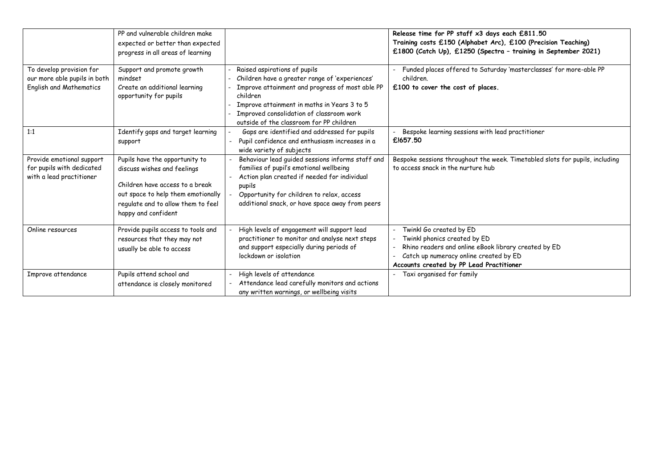|                                                                                     | PP and vulnerable children make<br>expected or better than expected<br>progress in all areas of learning                                                                                            |                                                                                                                                                                                                                                                                                      | Release time for PP staff x3 days each £811.50<br>Training costs £150 (Alphabet Arc), £100 (Precision Teaching)<br>£1800 (Catch Up), £1250 (Spectra - training in September 2021)                     |
|-------------------------------------------------------------------------------------|-----------------------------------------------------------------------------------------------------------------------------------------------------------------------------------------------------|--------------------------------------------------------------------------------------------------------------------------------------------------------------------------------------------------------------------------------------------------------------------------------------|-------------------------------------------------------------------------------------------------------------------------------------------------------------------------------------------------------|
| To develop provision for<br>our more able pupils in both<br>English and Mathematics | Support and promote growth<br>mindset<br>Create an additional learning<br>opportunity for pupils                                                                                                    | Raised aspirations of pupils<br>Children have a greater range of 'experiences'<br>Improve attainment and progress of most able PP<br>children<br>Improve attainment in maths in Years 3 to 5<br>Improved consolidation of classroom work<br>outside of the classroom for PP children | Funded places offered to Saturday 'masterclasses' for more-able PP<br>children.<br>£100 to cover the cost of places.                                                                                  |
| 1:1                                                                                 | Identify gaps and target learning<br>support                                                                                                                                                        | Gaps are identified and addressed for pupils<br>Pupil confidence and enthusiasm increases in a<br>wide variety of subjects                                                                                                                                                           | Bespoke learning sessions with lead practitioner<br>£1657.50                                                                                                                                          |
| Provide emotional support<br>for pupils with dedicated<br>with a lead practitioner  | Pupils have the opportunity to<br>discuss wishes and feelings<br>Children have access to a break<br>out space to help them emotionally<br>regulate and to allow them to feel<br>happy and confident | Behaviour lead guided sessions informs staff and<br>families of pupil's emotional wellbeing<br>Action plan created if needed for individual<br>pupils<br>Opportunity for children to relax, access<br>additional snack, or have space away from peers                                | Bespoke sessions throughout the week. Timetabled slots for pupils, including<br>to access snack in the nurture hub                                                                                    |
| Online resources                                                                    | Provide pupils access to tools and<br>resources that they may not<br>usually be able to access                                                                                                      | High levels of engagement will support lead<br>practitioner to monitor and analyse next steps<br>and support especially during periods of<br>lockdown or isolation                                                                                                                   | Twinkl Go created by ED<br>Twinkl phonics created by ED<br>Rhino readers and online eBook library created by ED<br>Catch up numeracy online created by ED<br>Accounts created by PP Lead Practitioner |
| Improve attendance                                                                  | Pupils attend school and<br>attendance is closely monitored                                                                                                                                         | High levels of attendance<br>Attendance lead carefully monitors and actions<br>any written warnings, or wellbeing visits                                                                                                                                                             | Taxi organised for family                                                                                                                                                                             |